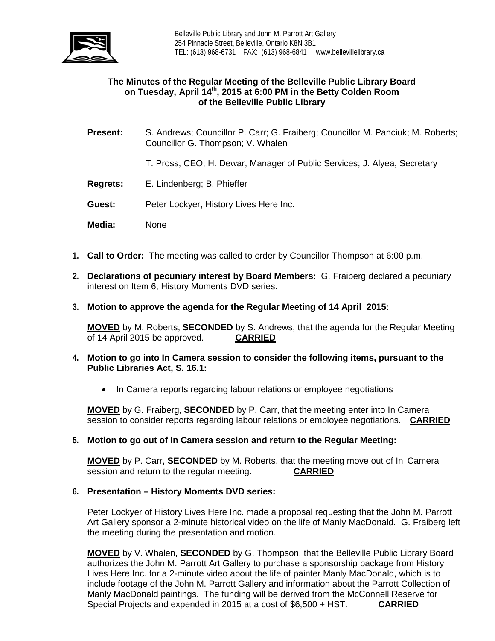

# **The Minutes of the Regular Meeting of the Belleville Public Library Board on Tuesday, April 14th, 2015 at 6:00 PM in the Betty Colden Room of the Belleville Public Library**

- **Present:** S. Andrews; Councillor P. Carr; G. Fraiberg; Councillor M. Panciuk; M. Roberts; Councillor G. Thompson; V. Whalen
	- T. Pross, CEO; H. Dewar, Manager of Public Services; J. Alyea, Secretary
- **Regrets:** E. Lindenberg; B. Phieffer
- **Guest:** Peter Lockyer, History Lives Here Inc.
- **Media:** None
- **1. Call to Order:** The meeting was called to order by Councillor Thompson at 6:00 p.m.
- **2. Declarations of pecuniary interest by Board Members:** G. Fraiberg declared a pecuniary interest on Item 6, History Moments DVD series.
- **3. Motion to approve the agenda for the Regular Meeting of 14 April 2015:**

**MOVED** by M. Roberts, **SECONDED** by S. Andrews, that the agenda for the Regular Meeting of 14 April 2015 be approved. **CARRIED**

- **4. Motion to go into In Camera session to consider the following items, pursuant to the Public Libraries Act, S. 16.1:**
	- In Camera reports regarding labour relations or employee negotiations

**MOVED** by G. Fraiberg, **SECONDED** by P. Carr, that the meeting enter into In Camera session to consider reports regarding labour relations or employee negotiations. **CARRIED**

**5. Motion to go out of In Camera session and return to the Regular Meeting:**

**MOVED** by P. Carr, **SECONDED** by M. Roberts, that the meeting move out of In Camera session and return to the regular meeting. **CARRIED**

### **6. Presentation – History Moments DVD series:**

Peter Lockyer of History Lives Here Inc. made a proposal requesting that the John M. Parrott Art Gallery sponsor a 2-minute historical video on the life of Manly MacDonald. G. Fraiberg left the meeting during the presentation and motion.

**MOVED** by V. Whalen, **SECONDED** by G. Thompson, that the Belleville Public Library Board authorizes the John M. Parrott Art Gallery to purchase a sponsorship package from History Lives Here Inc. for a 2-minute video about the life of painter Manly MacDonald, which is to include footage of the John M. Parrott Gallery and information about the Parrott Collection of Manly MacDonald paintings. The funding will be derived from the McConnell Reserve for Special Projects and expended in 2015 at a cost of \$6,500 + HST. **CARRIED**